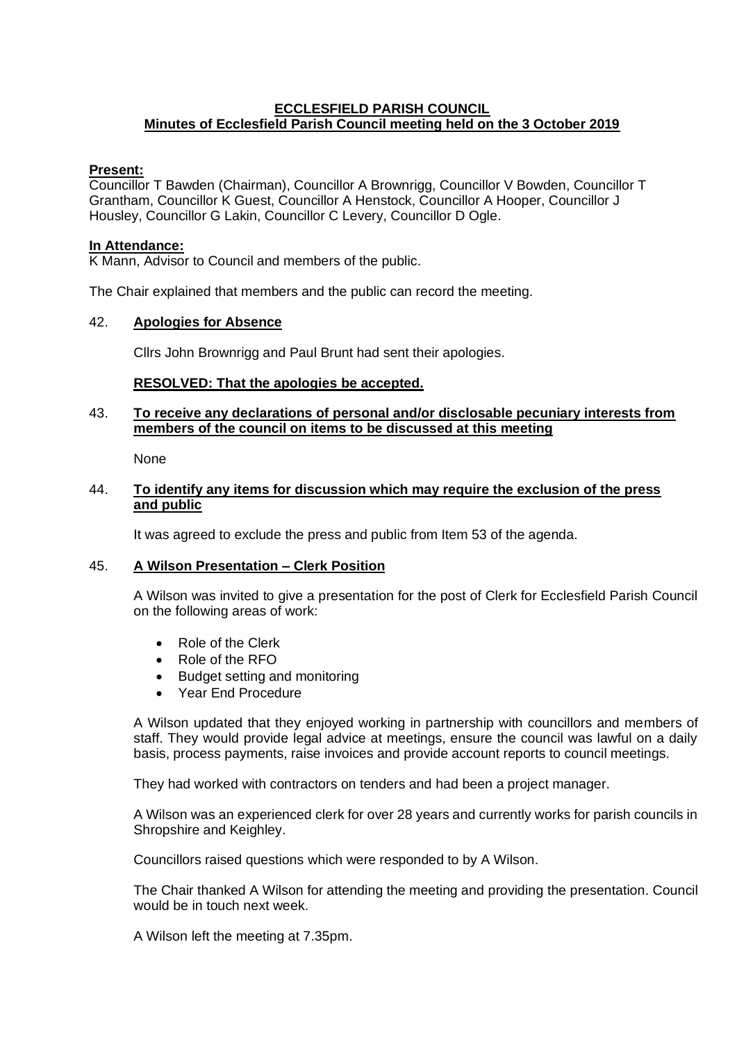## **ECCLESFIELD PARISH COUNCIL Minutes of Ecclesfield Parish Council meeting held on the 3 October 2019**

## **Present:**

Councillor T Bawden (Chairman), Councillor A Brownrigg, Councillor V Bowden, Councillor T Grantham, Councillor K Guest, Councillor A Henstock, Councillor A Hooper, Councillor J Housley, Councillor G Lakin, Councillor C Levery, Councillor D Ogle.

#### **In Attendance:**

K Mann, Advisor to Council and members of the public.

The Chair explained that members and the public can record the meeting.

## 42. **Apologies for Absence**

Cllrs John Brownrigg and Paul Brunt had sent their apologies.

## **RESOLVED: That the apologies be accepted.**

#### 43. **To receive any declarations of personal and/or disclosable pecuniary interests from members of the council on items to be discussed at this meeting**

None

#### 44. **To identify any items for discussion which may require the exclusion of the press and public**

It was agreed to exclude the press and public from Item 53 of the agenda.

#### 45. **A Wilson Presentation – Clerk Position**

A Wilson was invited to give a presentation for the post of Clerk for Ecclesfield Parish Council on the following areas of work:

- Role of the Clerk
- Role of the RFO
- Budget setting and monitoring
- Year End Procedure

A Wilson updated that they enjoyed working in partnership with councillors and members of staff. They would provide legal advice at meetings, ensure the council was lawful on a daily basis, process payments, raise invoices and provide account reports to council meetings.

They had worked with contractors on tenders and had been a project manager.

A Wilson was an experienced clerk for over 28 years and currently works for parish councils in Shropshire and Keighley.

Councillors raised questions which were responded to by A Wilson.

The Chair thanked A Wilson for attending the meeting and providing the presentation. Council would be in touch next week.

A Wilson left the meeting at 7.35pm.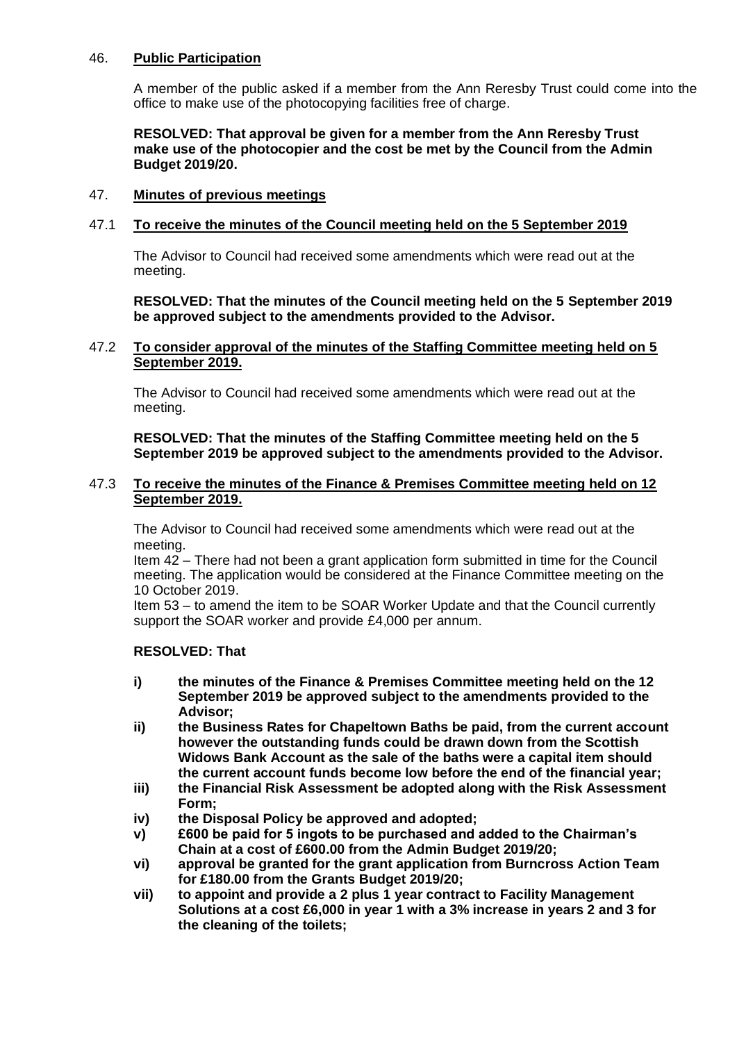# 46. **Public Participation**

A member of the public asked if a member from the Ann Reresby Trust could come into the office to make use of the photocopying facilities free of charge.

#### **RESOLVED: That approval be given for a member from the Ann Reresby Trust make use of the photocopier and the cost be met by the Council from the Admin Budget 2019/20.**

# 47. **Minutes of previous meetings**

## 47.1 **To receive the minutes of the Council meeting held on the 5 September 2019**

The Advisor to Council had received some amendments which were read out at the meeting.

#### **RESOLVED: That the minutes of the Council meeting held on the 5 September 2019 be approved subject to the amendments provided to the Advisor.**

## 47.2 **To consider approval of the minutes of the Staffing Committee meeting held on 5 September 2019.**

The Advisor to Council had received some amendments which were read out at the meeting.

## **RESOLVED: That the minutes of the Staffing Committee meeting held on the 5 September 2019 be approved subject to the amendments provided to the Advisor.**

#### 47.3 **To receive the minutes of the Finance & Premises Committee meeting held on 12 September 2019.**

The Advisor to Council had received some amendments which were read out at the meeting.

Item 42 – There had not been a grant application form submitted in time for the Council meeting. The application would be considered at the Finance Committee meeting on the 10 October 2019.

Item 53 – to amend the item to be SOAR Worker Update and that the Council currently support the SOAR worker and provide £4,000 per annum.

#### **RESOLVED: That**

- **i) the minutes of the Finance & Premises Committee meeting held on the 12 September 2019 be approved subject to the amendments provided to the Advisor;**
- **ii) the Business Rates for Chapeltown Baths be paid, from the current account however the outstanding funds could be drawn down from the Scottish Widows Bank Account as the sale of the baths were a capital item should the current account funds become low before the end of the financial year;**
- **iii) the Financial Risk Assessment be adopted along with the Risk Assessment Form;**
- **iv) the Disposal Policy be approved and adopted;**
- **v) £600 be paid for 5 ingots to be purchased and added to the Chairman's Chain at a cost of £600.00 from the Admin Budget 2019/20;**
- **vi) approval be granted for the grant application from Burncross Action Team for £180.00 from the Grants Budget 2019/20;**
- **vii) to appoint and provide a 2 plus 1 year contract to Facility Management Solutions at a cost £6,000 in year 1 with a 3% increase in years 2 and 3 for the cleaning of the toilets;**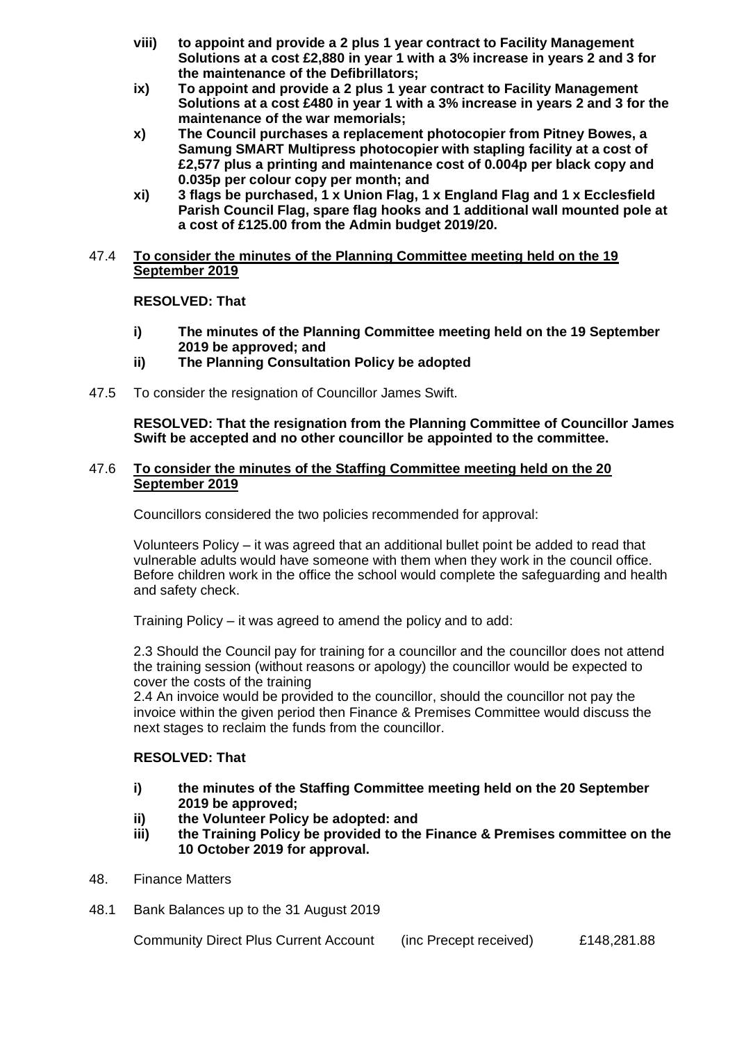- **viii) to appoint and provide a 2 plus 1 year contract to Facility Management Solutions at a cost £2,880 in year 1 with a 3% increase in years 2 and 3 for the maintenance of the Defibrillators;**
- **ix) To appoint and provide a 2 plus 1 year contract to Facility Management Solutions at a cost £480 in year 1 with a 3% increase in years 2 and 3 for the maintenance of the war memorials;**
- **x) The Council purchases a replacement photocopier from Pitney Bowes, a Samung SMART Multipress photocopier with stapling facility at a cost of £2,577 plus a printing and maintenance cost of 0.004p per black copy and 0.035p per colour copy per month; and**
- **xi) 3 flags be purchased, 1 x Union Flag, 1 x England Flag and 1 x Ecclesfield Parish Council Flag, spare flag hooks and 1 additional wall mounted pole at a cost of £125.00 from the Admin budget 2019/20.**

## 47.4 **To consider the minutes of the Planning Committee meeting held on the 19 September 2019**

# **RESOLVED: That**

- **i) The minutes of the Planning Committee meeting held on the 19 September 2019 be approved; and**
- **ii) The Planning Consultation Policy be adopted**
- 47.5 To consider the resignation of Councillor James Swift.

**RESOLVED: That the resignation from the Planning Committee of Councillor James Swift be accepted and no other councillor be appointed to the committee.**

## 47.6 **To consider the minutes of the Staffing Committee meeting held on the 20 September 2019**

Councillors considered the two policies recommended for approval:

Volunteers Policy – it was agreed that an additional bullet point be added to read that vulnerable adults would have someone with them when they work in the council office. Before children work in the office the school would complete the safeguarding and health and safety check.

Training Policy – it was agreed to amend the policy and to add:

2.3 Should the Council pay for training for a councillor and the councillor does not attend the training session (without reasons or apology) the councillor would be expected to cover the costs of the training

2.4 An invoice would be provided to the councillor, should the councillor not pay the invoice within the given period then Finance & Premises Committee would discuss the next stages to reclaim the funds from the councillor.

# **RESOLVED: That**

- **i) the minutes of the Staffing Committee meeting held on the 20 September 2019 be approved;**
- **ii) the Volunteer Policy be adopted: and**
- **iii) the Training Policy be provided to the Finance & Premises committee on the 10 October 2019 for approval.**
- 48. Finance Matters
- 48.1 Bank Balances up to the 31 August 2019

Community Direct Plus Current Account (inc Precept received) £148,281.88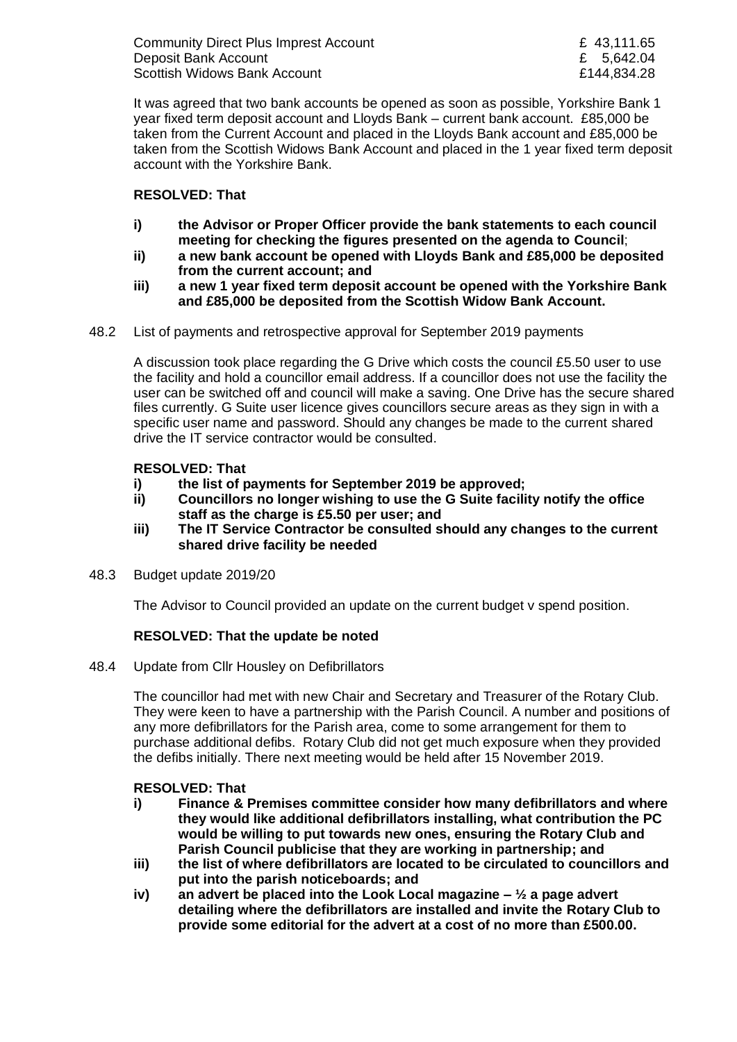Community Direct Plus Imprest Account E 43,111.65 Deposit Bank Account **E** 5,642.04 Scottish Widows Bank Account **E144,834.28** 

It was agreed that two bank accounts be opened as soon as possible, Yorkshire Bank 1 year fixed term deposit account and Lloyds Bank – current bank account. £85,000 be taken from the Current Account and placed in the Lloyds Bank account and £85,000 be taken from the Scottish Widows Bank Account and placed in the 1 year fixed term deposit account with the Yorkshire Bank.

# **RESOLVED: That**

- **i) the Advisor or Proper Officer provide the bank statements to each council meeting for checking the figures presented on the agenda to Council**;
- **ii) a new bank account be opened with Lloyds Bank and £85,000 be deposited from the current account; and**
- **iii) a new 1 year fixed term deposit account be opened with the Yorkshire Bank and £85,000 be deposited from the Scottish Widow Bank Account.**
- 48.2 List of payments and retrospective approval for September 2019 payments

A discussion took place regarding the G Drive which costs the council £5.50 user to use the facility and hold a councillor email address. If a councillor does not use the facility the user can be switched off and council will make a saving. One Drive has the secure shared files currently. G Suite user licence gives councillors secure areas as they sign in with a specific user name and password. Should any changes be made to the current shared drive the IT service contractor would be consulted.

# **RESOLVED: That**

- **i) the list of payments for September 2019 be approved;**
- **ii) Councillors no longer wishing to use the G Suite facility notify the office staff as the charge is £5.50 per user; and**
- **iii) The IT Service Contractor be consulted should any changes to the current shared drive facility be needed**
- 48.3 Budget update 2019/20

The Advisor to Council provided an update on the current budget v spend position.

# **RESOLVED: That the update be noted**

48.4 Update from Cllr Housley on Defibrillators

The councillor had met with new Chair and Secretary and Treasurer of the Rotary Club. They were keen to have a partnership with the Parish Council. A number and positions of any more defibrillators for the Parish area, come to some arrangement for them to purchase additional defibs. Rotary Club did not get much exposure when they provided the defibs initially. There next meeting would be held after 15 November 2019.

# **RESOLVED: That**

- **i) Finance & Premises committee consider how many defibrillators and where they would like additional defibrillators installing, what contribution the PC would be willing to put towards new ones, ensuring the Rotary Club and Parish Council publicise that they are working in partnership; and**
- **iii) the list of where defibrillators are located to be circulated to councillors and put into the parish noticeboards; and**
- **iv) an advert be placed into the Look Local magazine – ½ a page advert detailing where the defibrillators are installed and invite the Rotary Club to provide some editorial for the advert at a cost of no more than £500.00.**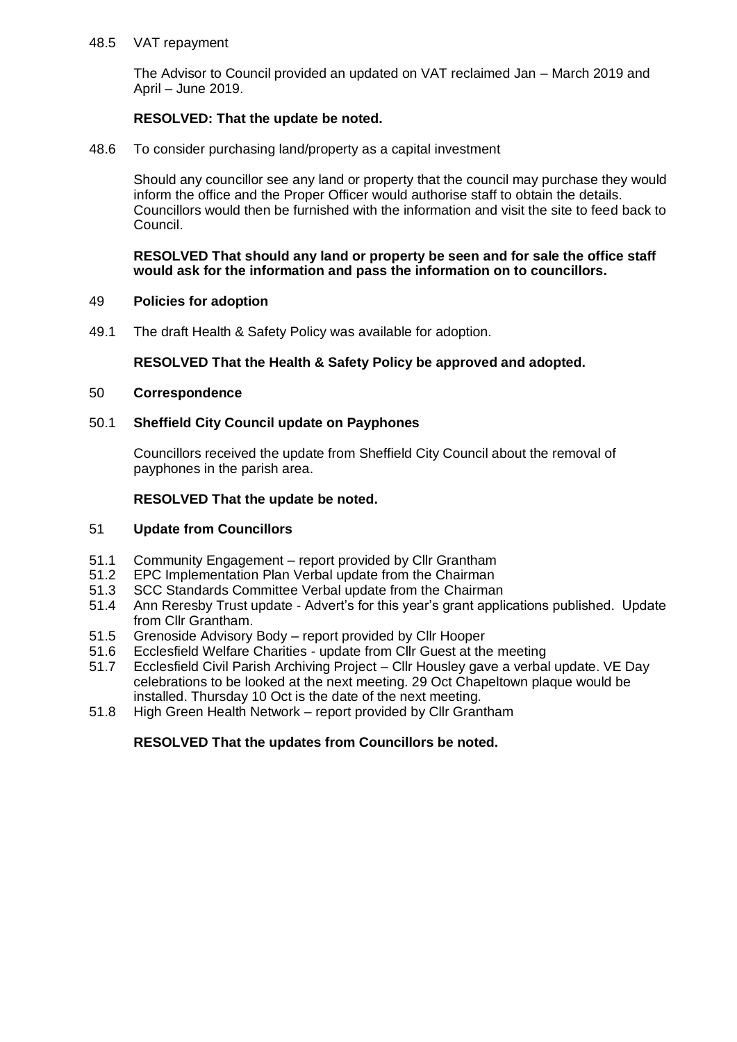## 48.5 VAT repayment

The Advisor to Council provided an updated on VAT reclaimed Jan – March 2019 and April – June 2019.

# **RESOLVED: That the update be noted.**

48.6 To consider purchasing land/property as a capital investment

Should any councillor see any land or property that the council may purchase they would inform the office and the Proper Officer would authorise staff to obtain the details. Councillors would then be furnished with the information and visit the site to feed back to Council.

#### **RESOLVED That should any land or property be seen and for sale the office staff would ask for the information and pass the information on to councillors.**

## 49 **Policies for adoption**

49.1 The draft Health & Safety Policy was available for adoption.

# **RESOLVED That the Health & Safety Policy be approved and adopted.**

## 50 **Correspondence**

# 50.1 **Sheffield City Council update on Payphones**

Councillors received the update from Sheffield City Council about the removal of payphones in the parish area.

# **RESOLVED That the update be noted.**

# 51 **Update from Councillors**

- 51.1 Community Engagement report provided by Cllr Grantham<br>51.2 EPC Implementation Plan Verbal update from the Chairman
- EPC Implementation Plan Verbal update from the Chairman
- 51.3 SCC Standards Committee Verbal update from the Chairman
- 51.4 Ann Reresby Trust update Advert's for this year's grant applications published. Update from Cllr Grantham.
- 51.5 Grenoside Advisory Body report provided by Cllr Hooper
- 51.6 Ecclesfield Welfare Charities update from Cllr Guest at the meeting
- 51.7 Ecclesfield Civil Parish Archiving Project Cllr Housley gave a verbal update. VE Day celebrations to be looked at the next meeting. 29 Oct Chapeltown plaque would be installed. Thursday 10 Oct is the date of the next meeting.
- 51.8 High Green Health Network report provided by Cllr Grantham

# **RESOLVED That the updates from Councillors be noted.**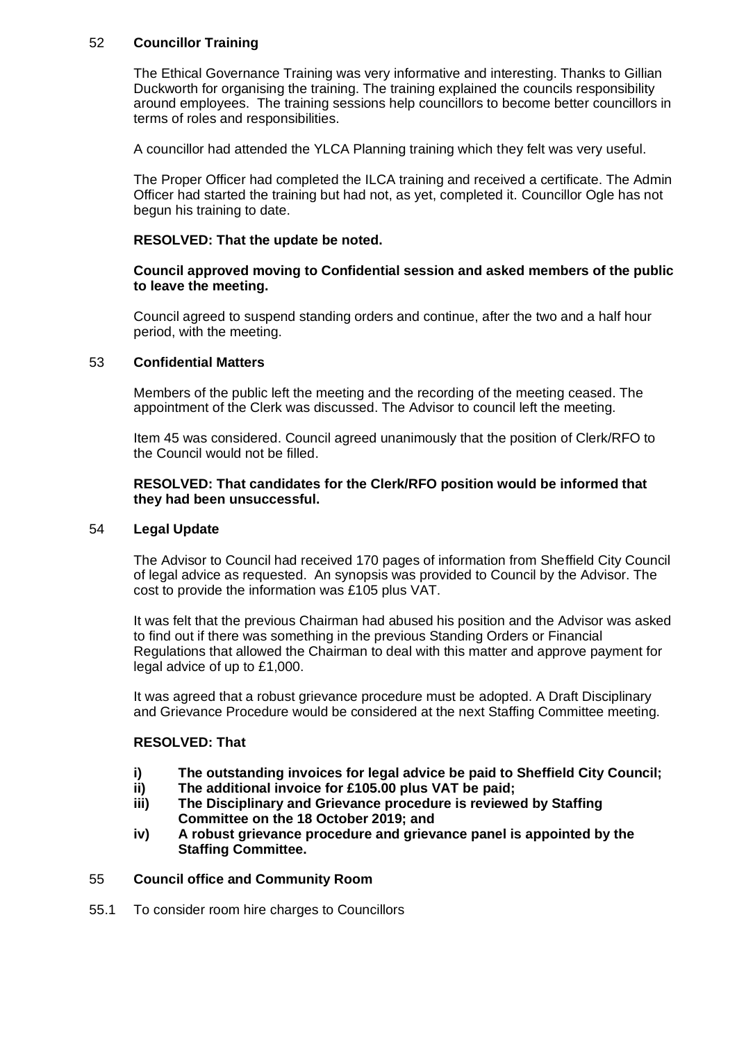# 52 **Councillor Training**

The Ethical Governance Training was very informative and interesting. Thanks to Gillian Duckworth for organising the training. The training explained the councils responsibility around employees. The training sessions help councillors to become better councillors in terms of roles and responsibilities.

A councillor had attended the YLCA Planning training which they felt was very useful.

The Proper Officer had completed the ILCA training and received a certificate. The Admin Officer had started the training but had not, as yet, completed it. Councillor Ogle has not begun his training to date.

## **RESOLVED: That the update be noted.**

## **Council approved moving to Confidential session and asked members of the public to leave the meeting.**

Council agreed to suspend standing orders and continue, after the two and a half hour period, with the meeting.

# 53 **Confidential Matters**

Members of the public left the meeting and the recording of the meeting ceased. The appointment of the Clerk was discussed. The Advisor to council left the meeting.

Item 45 was considered. Council agreed unanimously that the position of Clerk/RFO to the Council would not be filled.

#### **RESOLVED: That candidates for the Clerk/RFO position would be informed that they had been unsuccessful.**

## 54 **Legal Update**

The Advisor to Council had received 170 pages of information from Sheffield City Council of legal advice as requested. An synopsis was provided to Council by the Advisor. The cost to provide the information was £105 plus VAT.

It was felt that the previous Chairman had abused his position and the Advisor was asked to find out if there was something in the previous Standing Orders or Financial Regulations that allowed the Chairman to deal with this matter and approve payment for legal advice of up to £1,000.

It was agreed that a robust grievance procedure must be adopted. A Draft Disciplinary and Grievance Procedure would be considered at the next Staffing Committee meeting.

#### **RESOLVED: That**

- **i) The outstanding invoices for legal advice be paid to Sheffield City Council;**
- **ii) The additional invoice for £105.00 plus VAT be paid;**
- **iii) The Disciplinary and Grievance procedure is reviewed by Staffing Committee on the 18 October 2019; and**
- **iv) A robust grievance procedure and grievance panel is appointed by the Staffing Committee.**

#### 55 **Council office and Community Room**

55.1 To consider room hire charges to Councillors